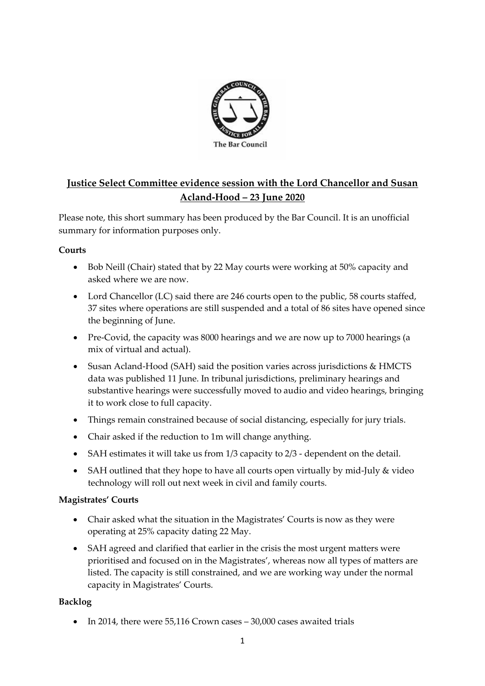

# **Justice Select Committee evidence session with the Lord Chancellor and Susan Acland-Hood – 23 June 2020**

Please note, this short summary has been produced by the Bar Council. It is an unofficial summary for information purposes only.

# **Courts**

- Bob Neill (Chair) stated that by 22 May courts were working at 50% capacity and asked where we are now.
- Lord Chancellor (LC) said there are 246 courts open to the public, 58 courts staffed, 37 sites where operations are still suspended and a total of 86 sites have opened since the beginning of June.
- Pre-Covid, the capacity was 8000 hearings and we are now up to 7000 hearings (a mix of virtual and actual).
- Susan Acland-Hood (SAH) said the position varies across jurisdictions & HMCTS data was published 11 June. In tribunal jurisdictions, preliminary hearings and substantive hearings were successfully moved to audio and video hearings, bringing it to work close to full capacity.
- Things remain constrained because of social distancing, especially for jury trials.
- Chair asked if the reduction to 1m will change anything.
- SAH estimates it will take us from 1/3 capacity to 2/3 dependent on the detail.
- SAH outlined that they hope to have all courts open virtually by mid-July & video technology will roll out next week in civil and family courts.

# **Magistrates' Courts**

- Chair asked what the situation in the Magistrates' Courts is now as they were operating at 25% capacity dating 22 May.
- SAH agreed and clarified that earlier in the crisis the most urgent matters were prioritised and focused on in the Magistrates', whereas now all types of matters are listed. The capacity is still constrained, and we are working way under the normal capacity in Magistrates' Courts.

# **Backlog**

• In 2014, there were 55,116 Crown cases – 30,000 cases awaited trials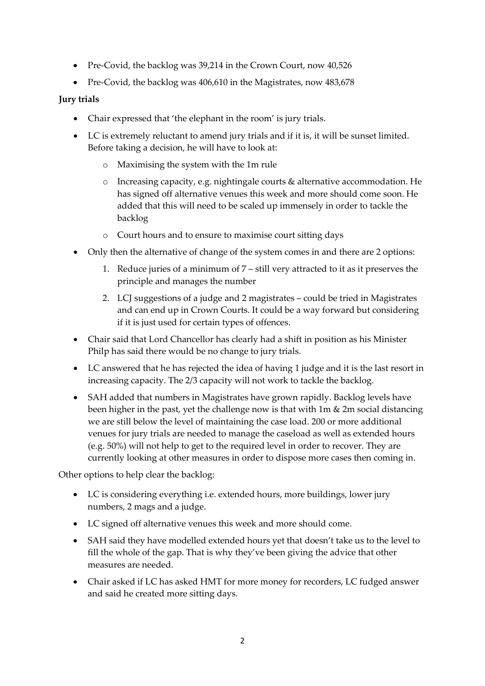- Pre-Covid, the backlog was 39,214 in the Crown Court, now 40,526
- Pre-Covid, the backlog was 406,610 in the Magistrates, now 483,678

# **Jury trials**

- Chair expressed that 'the elephant in the room' is jury trials.
- LC is extremely reluctant to amend jury trials and if it is, it will be sunset limited. Before taking a decision, he will have to look at:
	- o Maximising the system with the 1m rule
	- o Increasing capacity, e.g. nightingale courts & alternative accommodation. He has signed off alternative venues this week and more should come soon. He added that this will need to be scaled up immensely in order to tackle the backlog
	- o Court hours and to ensure to maximise court sitting days
- Only then the alternative of change of the system comes in and there are 2 options:
	- 1. Reduce juries of a minimum of 7 still very attracted to it as it preserves the principle and manages the number
	- 2. LCJ suggestions of a judge and 2 magistrates could be tried in Magistrates and can end up in Crown Courts. It could be a way forward but considering if it is just used for certain types of offences.
- Chair said that Lord Chancellor has clearly had a shift in position as his Minister Philp has said there would be no change to jury trials.
- LC answered that he has rejected the idea of having 1 judge and it is the last resort in increasing capacity. The 2/3 capacity will not work to tackle the backlog.
- SAH added that numbers in Magistrates have grown rapidly. Backlog levels have been higher in the past, yet the challenge now is that with 1m & 2m social distancing we are still below the level of maintaining the case load. 200 or more additional venues for jury trials are needed to manage the caseload as well as extended hours (e.g. 50%) will not help to get to the required level in order to recover. They are currently looking at other measures in order to dispose more cases then coming in.

Other options to help clear the backlog:

- LC is considering everything i.e. extended hours, more buildings, lower jury numbers, 2 mags and a judge.
- LC signed off alternative venues this week and more should come.
- SAH said they have modelled extended hours yet that doesn't take us to the level to fill the whole of the gap. That is why they've been giving the advice that other measures are needed.
- Chair asked if LC has asked HMT for more money for recorders, LC fudged answer and said he created more sitting days.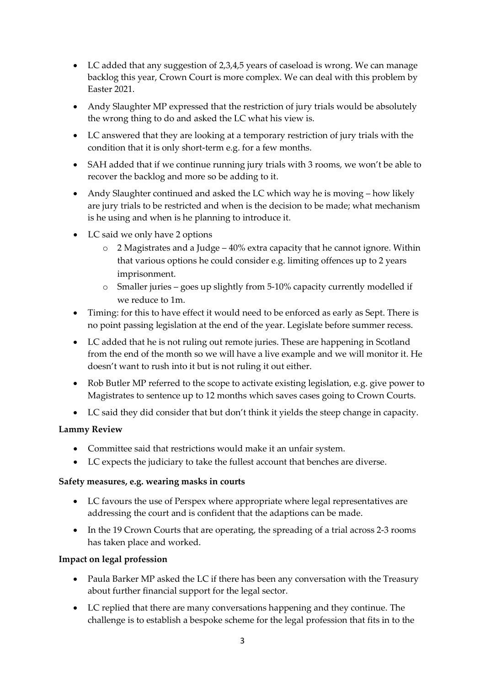- LC added that any suggestion of 2,3,4,5 years of caseload is wrong. We can manage backlog this year, Crown Court is more complex. We can deal with this problem by Easter 2021.
- Andy Slaughter MP expressed that the restriction of jury trials would be absolutely the wrong thing to do and asked the LC what his view is.
- LC answered that they are looking at a temporary restriction of jury trials with the condition that it is only short-term e.g. for a few months.
- SAH added that if we continue running jury trials with 3 rooms, we won't be able to recover the backlog and more so be adding to it.
- Andy Slaughter continued and asked the LC which way he is moving how likely are jury trials to be restricted and when is the decision to be made; what mechanism is he using and when is he planning to introduce it.
- LC said we only have 2 options
	- o 2 Magistrates and a Judge 40% extra capacity that he cannot ignore. Within that various options he could consider e.g. limiting offences up to 2 years imprisonment.
	- o Smaller juries goes up slightly from 5-10% capacity currently modelled if we reduce to 1m.
- Timing: for this to have effect it would need to be enforced as early as Sept. There is no point passing legislation at the end of the year. Legislate before summer recess.
- LC added that he is not ruling out remote juries. These are happening in Scotland from the end of the month so we will have a live example and we will monitor it. He doesn't want to rush into it but is not ruling it out either.
- Rob Butler MP referred to the scope to activate existing legislation, e.g. give power to Magistrates to sentence up to 12 months which saves cases going to Crown Courts.
- LC said they did consider that but don't think it yields the steep change in capacity.

# **Lammy Review**

- Committee said that restrictions would make it an unfair system.
- LC expects the judiciary to take the fullest account that benches are diverse.

### **Safety measures, e.g. wearing masks in courts**

- LC favours the use of Perspex where appropriate where legal representatives are addressing the court and is confident that the adaptions can be made.
- In the 19 Crown Courts that are operating, the spreading of a trial across 2-3 rooms has taken place and worked.

### **Impact on legal profession**

- Paula Barker MP asked the LC if there has been any conversation with the Treasury about further financial support for the legal sector.
- LC replied that there are many conversations happening and they continue. The challenge is to establish a bespoke scheme for the legal profession that fits in to the